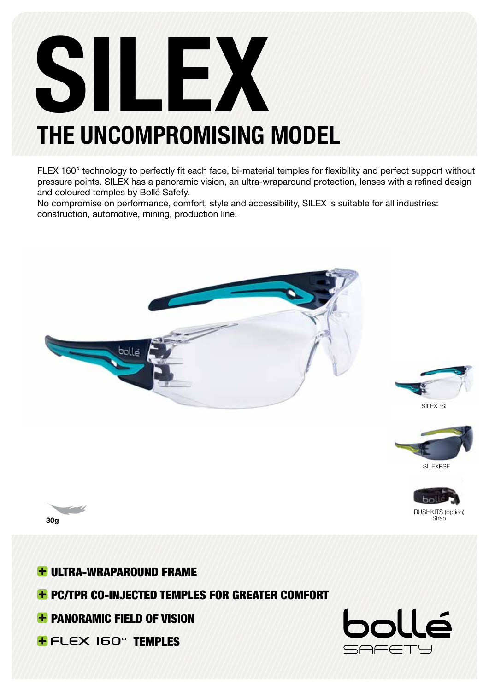# SILEX THE UNCOMPROMISING MODEL

FLEX 160° technology to perfectly fit each face, bi-material temples for flexibility and perfect support without pressure points. SILEX has a panoramic vision, an ultra-wraparound protection, lenses with a refined design and coloured temples by Bollé Safety.

No compromise on performance, comfort, style and accessibility, SILEX is suitable for all industries: construction, automotive, mining, production line.







RUSHKITS (option) Strap



**+ ULTRA-WRAPAROUND FRAME + PC/TPR CO-INJECTED TEMPLES FOR GREATER COMFORT + PANORAMIC FIELD OF VISION + FLEX IGO<sup>°</sup> TEMPLES**